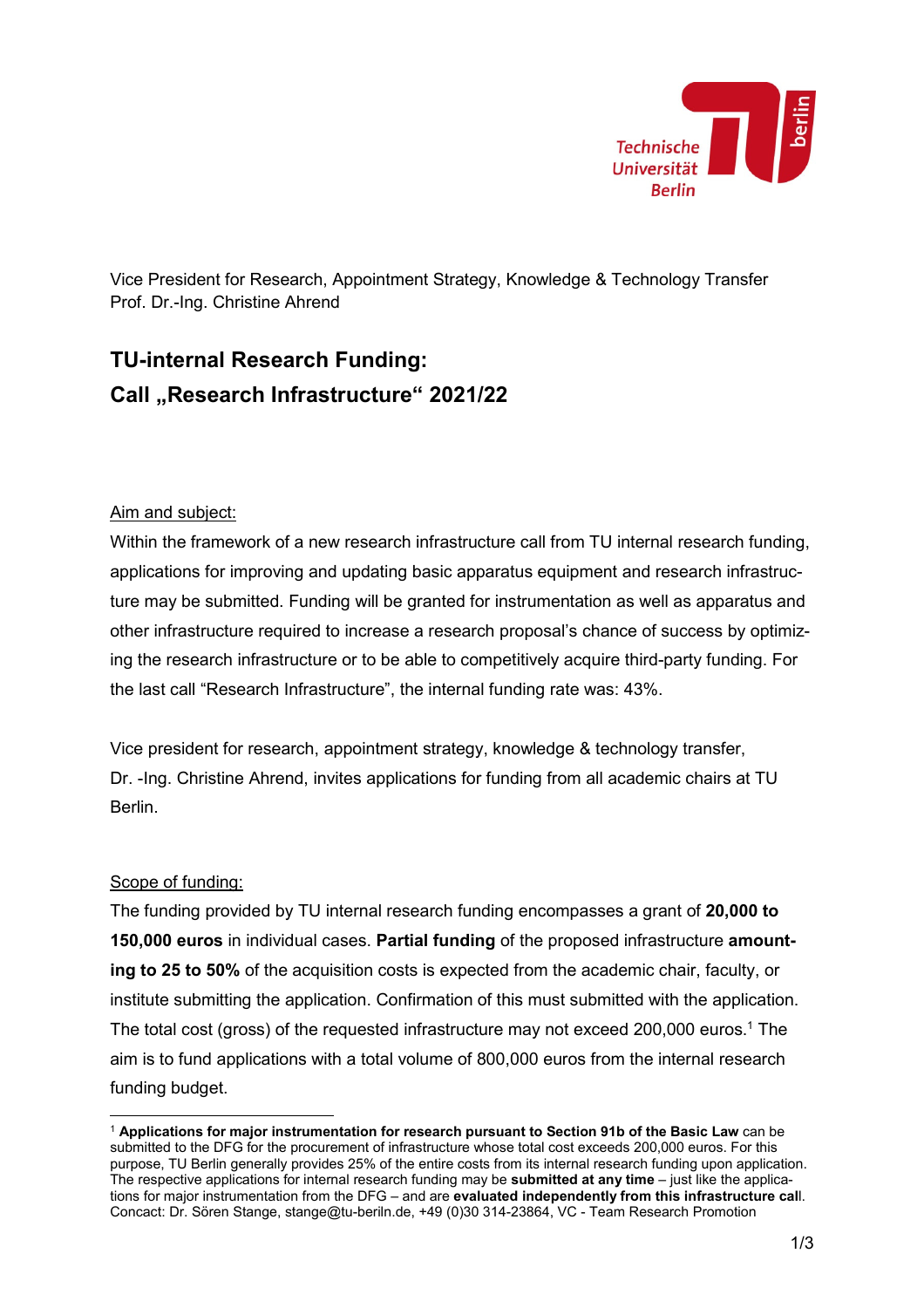

Vice President for Research, Appointment Strategy, Knowledge & Technology Transfer Prof. Dr.-Ing. Christine Ahrend

# **TU-internal Research Funding: Call "Research Infrastructure" 2021/22**

#### Aim and subject:

Within the framework of a new research infrastructure call from TU internal research funding, applications for improving and updating basic apparatus equipment and research infrastructure may be submitted. Funding will be granted for instrumentation as well as apparatus and other infrastructure required to increase a research proposal's chance of success by optimizing the research infrastructure or to be able to competitively acquire third-party funding. For the last call "Research Infrastructure", the internal funding rate was: 43%.

Vice president for research, appointment strategy, knowledge & technology transfer, Dr. -Ing. Christine Ahrend, invites applications for funding from all academic chairs at TU Berlin.

#### Scope of funding:

 $\overline{a}$ 

The funding provided by TU internal research funding encompasses a grant of **20,000 to 150,000 euros** in individual cases. **Partial funding** of the proposed infrastructure **amounting to 25 to 50%** of the acquisition costs is expected from the academic chair, faculty, or institute submitting the application. Confirmation of this must submitted with the application. The total cost (gross) of the requested infrastructure may not exceed 200,000 euros.<sup>1</sup> The aim is to fund applications with a total volume of 800,000 euros from the internal research funding budget.

<sup>1</sup> **Applications for major instrumentation for research pursuant to Section 91b of the Basic Law** can be submitted to the DFG for the procurement of infrastructure whose total cost exceeds 200,000 euros. For this purpose, TU Berlin generally provides 25% of the entire costs from its internal research funding upon application. The respective applications for internal research funding may be **submitted at any time** – just like the applications for major instrumentation from the DFG – and are **evaluated independently from this infrastructure cal**l. Concact: Dr. Sören Stange, stange@tu-beriln.de, +49 (0)30 314-23864, VC - Team Research Promotion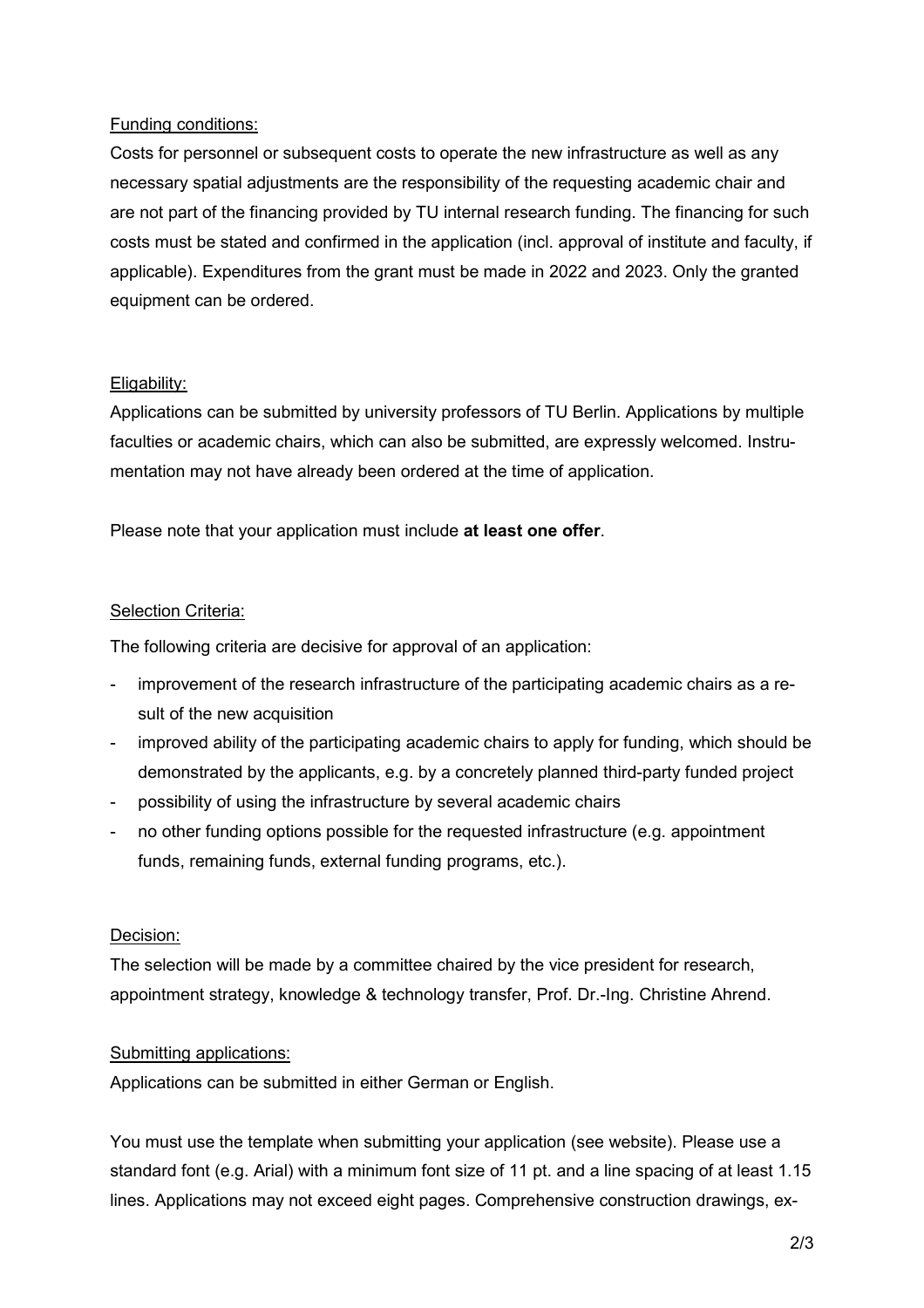## Funding conditions:

Costs for personnel or subsequent costs to operate the new infrastructure as well as any necessary spatial adjustments are the responsibility of the requesting academic chair and are not part of the financing provided by TU internal research funding. The financing for such costs must be stated and confirmed in the application (incl. approval of institute and faculty, if applicable). Expenditures from the grant must be made in 2022 and 2023. Only the granted equipment can be ordered.

#### Eligability:

Applications can be submitted by university professors of TU Berlin. Applications by multiple faculties or academic chairs, which can also be submitted, are expressly welcomed. Instrumentation may not have already been ordered at the time of application.

Please note that your application must include **at least one offer**.

#### Selection Criteria:

The following criteria are decisive for approval of an application:

- improvement of the research infrastructure of the participating academic chairs as a result of the new acquisition
- improved ability of the participating academic chairs to apply for funding, which should be demonstrated by the applicants, e.g. by a concretely planned third-party funded project
- possibility of using the infrastructure by several academic chairs
- no other funding options possible for the requested infrastructure (e.g. appointment funds, remaining funds, external funding programs, etc.).

## Decision:

The selection will be made by a committee chaired by the vice president for research, appointment strategy, knowledge & technology transfer, Prof. Dr.-Ing. Christine Ahrend.

## Submitting applications:

Applications can be submitted in either German or English.

You must use the template when submitting your application (see website). Please use a standard font (e.g. Arial) with a minimum font size of 11 pt. and a line spacing of at least 1.15 lines. Applications may not exceed eight pages. Comprehensive construction drawings, ex